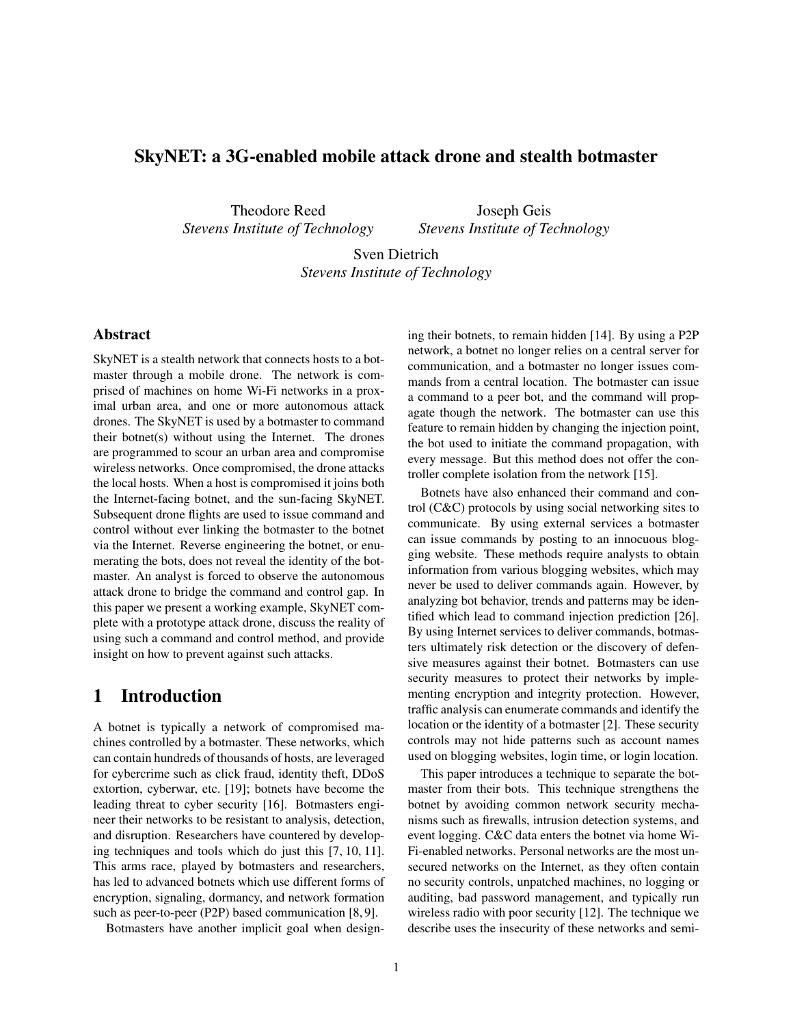## SkyNET: a 3G-enabled mobile attack drone and stealth botmaster

Theodore Reed *Stevens Institute of Technology*

Joseph Geis *Stevens Institute of Technology*

Sven Dietrich *Stevens Institute of Technology*

### Abstract

SkyNET is a stealth network that connects hosts to a botmaster through a mobile drone. The network is comprised of machines on home Wi-Fi networks in a proximal urban area, and one or more autonomous attack drones. The SkyNET is used by a botmaster to command their botnet(s) without using the Internet. The drones are programmed to scour an urban area and compromise wireless networks. Once compromised, the drone attacks the local hosts. When a host is compromised it joins both the Internet-facing botnet, and the sun-facing SkyNET. Subsequent drone flights are used to issue command and control without ever linking the botmaster to the botnet via the Internet. Reverse engineering the botnet, or enumerating the bots, does not reveal the identity of the botmaster. An analyst is forced to observe the autonomous attack drone to bridge the command and control gap. In this paper we present a working example, SkyNET complete with a prototype attack drone, discuss the reality of using such a command and control method, and provide insight on how to prevent against such attacks.

## 1 Introduction

A botnet is typically a network of compromised machines controlled by a botmaster. These networks, which can contain hundreds of thousands of hosts, are leveraged for cybercrime such as click fraud, identity theft, DDoS extortion, cyberwar, etc. [19]; botnets have become the leading threat to cyber security [16]. Botmasters engineer their networks to be resistant to analysis, detection, and disruption. Researchers have countered by developing techniques and tools which do just this [7, 10, 11]. This arms race, played by botmasters and researchers, has led to advanced botnets which use different forms of encryption, signaling, dormancy, and network formation such as peer-to-peer (P2P) based communication [8, 9].

Botmasters have another implicit goal when design-

ing their botnets, to remain hidden [14]. By using a P2P network, a botnet no longer relies on a central server for communication, and a botmaster no longer issues commands from a central location. The botmaster can issue a command to a peer bot, and the command will propagate though the network. The botmaster can use this feature to remain hidden by changing the injection point, the bot used to initiate the command propagation, with every message. But this method does not offer the controller complete isolation from the network [15].

Botnets have also enhanced their command and control (C&C) protocols by using social networking sites to communicate. By using external services a botmaster can issue commands by posting to an innocuous blogging website. These methods require analysts to obtain information from various blogging websites, which may never be used to deliver commands again. However, by analyzing bot behavior, trends and patterns may be identified which lead to command injection prediction [26]. By using Internet services to deliver commands, botmasters ultimately risk detection or the discovery of defensive measures against their botnet. Botmasters can use security measures to protect their networks by implementing encryption and integrity protection. However, traffic analysis can enumerate commands and identify the location or the identity of a botmaster [2]. These security controls may not hide patterns such as account names used on blogging websites, login time, or login location.

This paper introduces a technique to separate the botmaster from their bots. This technique strengthens the botnet by avoiding common network security mechanisms such as firewalls, intrusion detection systems, and event logging. C&C data enters the botnet via home Wi-Fi-enabled networks. Personal networks are the most unsecured networks on the Internet, as they often contain no security controls, unpatched machines, no logging or auditing, bad password management, and typically run wireless radio with poor security [12]. The technique we describe uses the insecurity of these networks and semi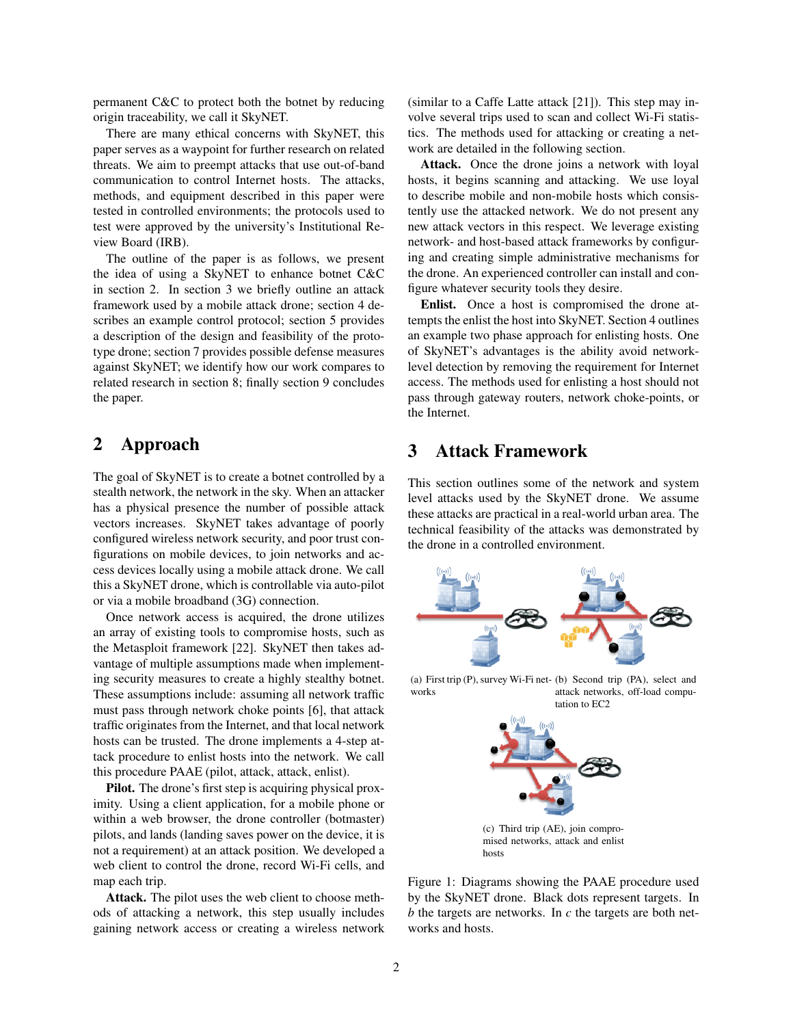permanent C&C to protect both the botnet by reducing origin traceability, we call it SkyNET.

There are many ethical concerns with SkyNET, this paper serves as a waypoint for further research on related threats. We aim to preempt attacks that use out-of-band communication to control Internet hosts. The attacks, methods, and equipment described in this paper were tested in controlled environments; the protocols used to test were approved by the university's Institutional Review Board (IRB).

The outline of the paper is as follows, we present the idea of using a SkyNET to enhance botnet C&C in section 2. In section 3 we briefly outline an attack framework used by a mobile attack drone; section 4 describes an example control protocol; section 5 provides a description of the design and feasibility of the prototype drone; section 7 provides possible defense measures against SkyNET; we identify how our work compares to related research in section 8; finally section 9 concludes the paper.

# 2 Approach

The goal of SkyNET is to create a botnet controlled by a stealth network, the network in the sky. When an attacker has a physical presence the number of possible attack vectors increases. SkyNET takes advantage of poorly configured wireless network security, and poor trust configurations on mobile devices, to join networks and access devices locally using a mobile attack drone. We call this a SkyNET drone, which is controllable via auto-pilot or via a mobile broadband (3G) connection.

Once network access is acquired, the drone utilizes an array of existing tools to compromise hosts, such as the Metasploit framework [22]. SkyNET then takes advantage of multiple assumptions made when implementing security measures to create a highly stealthy botnet. These assumptions include: assuming all network traffic must pass through network choke points [6], that attack traffic originates from the Internet, and that local network hosts can be trusted. The drone implements a 4-step attack procedure to enlist hosts into the network. We call this procedure PAAE (pilot, attack, attack, enlist).

Pilot. The drone's first step is acquiring physical proximity. Using a client application, for a mobile phone or within a web browser, the drone controller (botmaster) pilots, and lands (landing saves power on the device, it is not a requirement) at an attack position. We developed a web client to control the drone, record Wi-Fi cells, and map each trip.

Attack. The pilot uses the web client to choose methods of attacking a network, this step usually includes gaining network access or creating a wireless network (similar to a Caffe Latte attack [21]). This step may involve several trips used to scan and collect Wi-Fi statistics. The methods used for attacking or creating a network are detailed in the following section.

Attack. Once the drone joins a network with loyal hosts, it begins scanning and attacking. We use loyal to describe mobile and non-mobile hosts which consistently use the attacked network. We do not present any new attack vectors in this respect. We leverage existing network- and host-based attack frameworks by configuring and creating simple administrative mechanisms for the drone. An experienced controller can install and configure whatever security tools they desire.

Enlist. Once a host is compromised the drone attempts the enlist the host into SkyNET. Section 4 outlines an example two phase approach for enlisting hosts. One of SkyNET's advantages is the ability avoid networklevel detection by removing the requirement for Internet access. The methods used for enlisting a host should not pass through gateway routers, network choke-points, or the Internet.

# 3 Attack Framework

This section outlines some of the network and system level attacks used by the SkyNET drone. We assume these attacks are practical in a real-world urban area. The technical feasibility of the attacks was demonstrated by the drone in a controlled environment.



(a) First trip (P), survey Wi-Fi net-(b) Second trip (PA), select and works attack networks, off-load computation to EC2



(c) Third trip (AE), join compromised networks, attack and enlist hosts

Figure 1: Diagrams showing the PAAE procedure used by the SkyNET drone. Black dots represent targets. In *b* the targets are networks. In *c* the targets are both networks and hosts.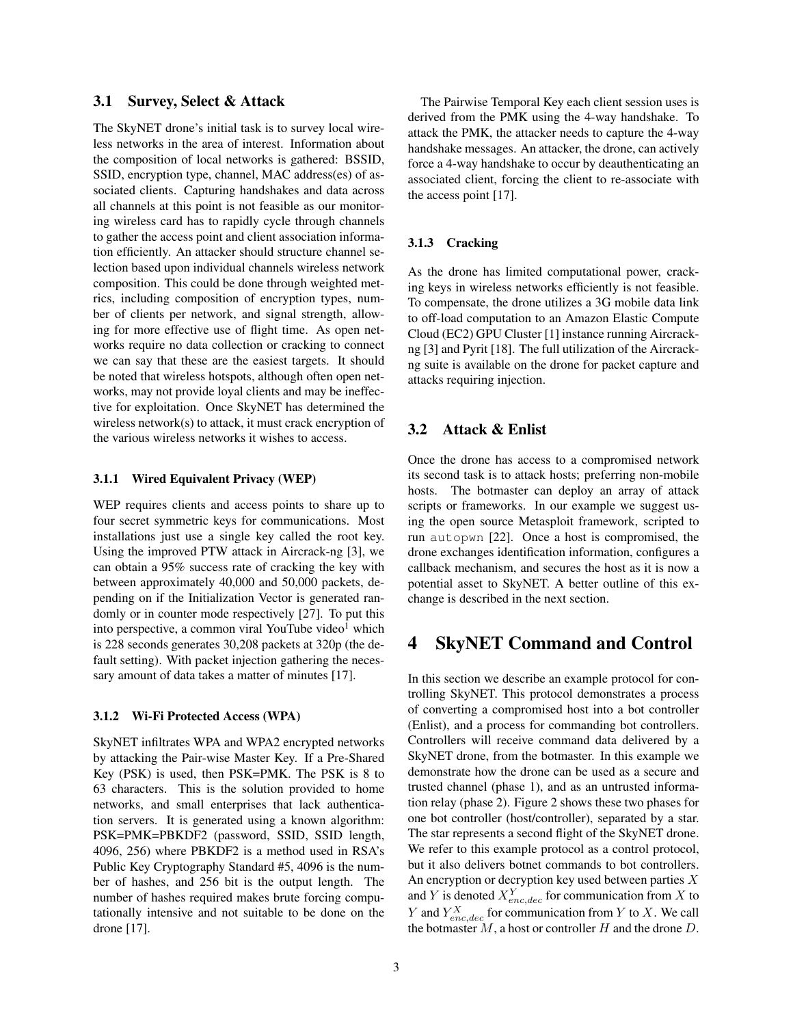### 3.1 Survey, Select & Attack

The SkyNET drone's initial task is to survey local wireless networks in the area of interest. Information about the composition of local networks is gathered: BSSID, SSID, encryption type, channel, MAC address(es) of associated clients. Capturing handshakes and data across all channels at this point is not feasible as our monitoring wireless card has to rapidly cycle through channels to gather the access point and client association information efficiently. An attacker should structure channel selection based upon individual channels wireless network composition. This could be done through weighted metrics, including composition of encryption types, number of clients per network, and signal strength, allowing for more effective use of flight time. As open networks require no data collection or cracking to connect we can say that these are the easiest targets. It should be noted that wireless hotspots, although often open networks, may not provide loyal clients and may be ineffective for exploitation. Once SkyNET has determined the wireless network(s) to attack, it must crack encryption of the various wireless networks it wishes to access.

#### 3.1.1 Wired Equivalent Privacy (WEP)

WEP requires clients and access points to share up to four secret symmetric keys for communications. Most installations just use a single key called the root key. Using the improved PTW attack in Aircrack-ng [3], we can obtain a 95% success rate of cracking the key with between approximately 40,000 and 50,000 packets, depending on if the Initialization Vector is generated randomly or in counter mode respectively [27]. To put this into perspective, a common viral YouTube video<sup>1</sup> which is 228 seconds generates 30,208 packets at 320p (the default setting). With packet injection gathering the necessary amount of data takes a matter of minutes [17].

#### 3.1.2 Wi-Fi Protected Access (WPA)

SkyNET infiltrates WPA and WPA2 encrypted networks by attacking the Pair-wise Master Key. If a Pre-Shared Key (PSK) is used, then PSK=PMK. The PSK is 8 to 63 characters. This is the solution provided to home networks, and small enterprises that lack authentication servers. It is generated using a known algorithm: PSK=PMK=PBKDF2 (password, SSID, SSID length, 4096, 256) where PBKDF2 is a method used in RSA's Public Key Cryptography Standard #5, 4096 is the number of hashes, and 256 bit is the output length. The number of hashes required makes brute forcing computationally intensive and not suitable to be done on the drone [17].

The Pairwise Temporal Key each client session uses is derived from the PMK using the 4-way handshake. To attack the PMK, the attacker needs to capture the 4-way handshake messages. An attacker, the drone, can actively force a 4-way handshake to occur by deauthenticating an associated client, forcing the client to re-associate with the access point [17].

#### 3.1.3 Cracking

As the drone has limited computational power, cracking keys in wireless networks efficiently is not feasible. To compensate, the drone utilizes a 3G mobile data link to off-load computation to an Amazon Elastic Compute Cloud (EC2) GPU Cluster [1] instance running Aircrackng [3] and Pyrit [18]. The full utilization of the Aircrackng suite is available on the drone for packet capture and attacks requiring injection.

### 3.2 Attack & Enlist

Once the drone has access to a compromised network its second task is to attack hosts; preferring non-mobile hosts. The botmaster can deploy an array of attack scripts or frameworks. In our example we suggest using the open source Metasploit framework, scripted to run autopwn [22]. Once a host is compromised, the drone exchanges identification information, configures a callback mechanism, and secures the host as it is now a potential asset to SkyNET. A better outline of this exchange is described in the next section.

## 4 SkyNET Command and Control

In this section we describe an example protocol for controlling SkyNET. This protocol demonstrates a process of converting a compromised host into a bot controller (Enlist), and a process for commanding bot controllers. Controllers will receive command data delivered by a SkyNET drone, from the botmaster. In this example we demonstrate how the drone can be used as a secure and trusted channel (phase 1), and as an untrusted information relay (phase 2). Figure 2 shows these two phases for one bot controller (host/controller), separated by a star. The star represents a second flight of the SkyNET drone. We refer to this example protocol as a control protocol, but it also delivers botnet commands to bot controllers. An encryption or decryption key used between parties X and Y is denoted  $X_{enc,dec}^Y$  for communication from X to Y and  $Y_{enc,dec}^X$  for communication from Y to X. We call the botmaster  $M$ , a host or controller  $H$  and the drone  $D$ .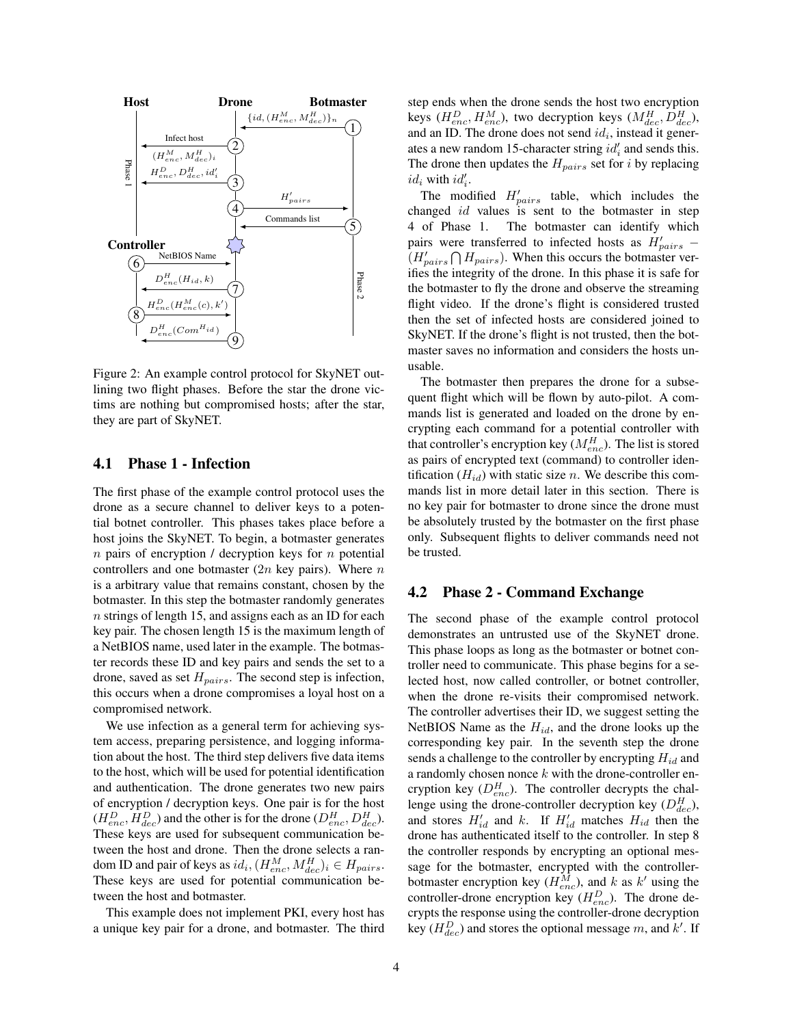

Figure 2: An example control protocol for SkyNET outlining two flight phases. Before the star the drone victims are nothing but compromised hosts; after the star, they are part of SkyNET.

#### 4.1 Phase 1 - Infection

The first phase of the example control protocol uses the drone as a secure channel to deliver keys to a potential botnet controller. This phases takes place before a host joins the SkyNET. To begin, a botmaster generates  $n$  pairs of encryption / decryption keys for  $n$  potential controllers and one botmaster  $(2n \text{ key pairs})$ . Where n is a arbitrary value that remains constant, chosen by the botmaster. In this step the botmaster randomly generates n strings of length 15, and assigns each as an ID for each key pair. The chosen length 15 is the maximum length of a NetBIOS name, used later in the example. The botmaster records these ID and key pairs and sends the set to a drone, saved as set  $H_{pairs}$ . The second step is infection, this occurs when a drone compromises a loyal host on a compromised network.

We use infection as a general term for achieving system access, preparing persistence, and logging information about the host. The third step delivers five data items to the host, which will be used for potential identification and authentication. The drone generates two new pairs of encryption / decryption keys. One pair is for the host  $(H_{enc}^D, H_{dec}^D)$  and the other is for the drone  $(D_{enc}^H, D_{dec}^H)$ . These keys are used for subsequent communication between the host and drone. Then the drone selects a random ID and pair of keys as  $id_i$ ,  $(H_{enc}^M, M_{dec}^H)_i \in H_{pairs}$ . These keys are used for potential communication between the host and botmaster.

This example does not implement PKI, every host has a unique key pair for a drone, and botmaster. The third step ends when the drone sends the host two encryption keys ( $H_{enc}^D, H_{enc}^M$ ), two decryption keys ( $M_{dec}^H, D_{dec}^H$ ), and an ID. The drone does not send  $id_i$ , instead it generates a new random 15-character string  $id_i'$  and sends this. The drone then updates the  $H_{pairs}$  set for *i* by replacing  $id_i$  with  $id'_i$ .

The modified  $H'_{pairs}$  table, which includes the changed id values is sent to the botmaster in step 4 of Phase 1. The botmaster can identify which pairs were transferred to infected hosts as  $H'_{pairs}$  –  $(H'_{pairs} \cap H_{pairs})$ . When this occurs the botmaster verifies the integrity of the drone. In this phase it is safe for the botmaster to fly the drone and observe the streaming flight video. If the drone's flight is considered trusted then the set of infected hosts are considered joined to SkyNET. If the drone's flight is not trusted, then the botmaster saves no information and considers the hosts unusable.

The botmaster then prepares the drone for a subsequent flight which will be flown by auto-pilot. A commands list is generated and loaded on the drone by encrypting each command for a potential controller with that controller's encryption key  $(M^H_{enc})$ . The list is stored as pairs of encrypted text (command) to controller identification  $(H_{id})$  with static size n. We describe this commands list in more detail later in this section. There is no key pair for botmaster to drone since the drone must be absolutely trusted by the botmaster on the first phase only. Subsequent flights to deliver commands need not be trusted.

### 4.2 Phase 2 - Command Exchange

The second phase of the example control protocol demonstrates an untrusted use of the SkyNET drone. This phase loops as long as the botmaster or botnet controller need to communicate. This phase begins for a selected host, now called controller, or botnet controller, when the drone re-visits their compromised network. The controller advertises their ID, we suggest setting the NetBIOS Name as the  $H_{id}$ , and the drone looks up the corresponding key pair. In the seventh step the drone sends a challenge to the controller by encrypting  $H_{id}$  and a randomly chosen nonce  $k$  with the drone-controller encryption key  $(D_{enc}^H)$ . The controller decrypts the challenge using the drone-controller decryption key  $(D_{dec}^H)$ , and stores  $H'_{id}$  and k. If  $H'_{id}$  matches  $H_{id}$  then the drone has authenticated itself to the controller. In step 8 the controller responds by encrypting an optional message for the botmaster, encrypted with the controllerbotmaster encryption key  $(H_{enc}^M)$ , and k as k' using the controller-drone encryption key  $(H_{enc}^D)$ . The drone decrypts the response using the controller-drone decryption key ( $H_{dec}^D$ ) and stores the optional message m, and k'. If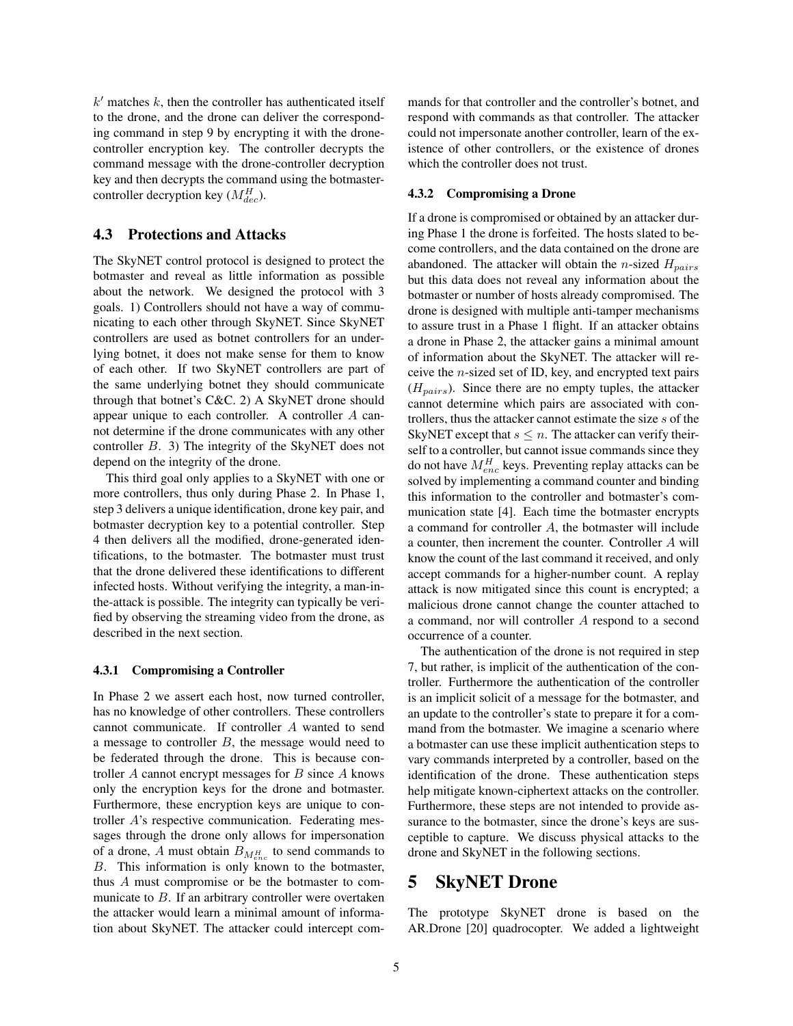$k'$  matches  $k$ , then the controller has authenticated itself to the drone, and the drone can deliver the corresponding command in step 9 by encrypting it with the dronecontroller encryption key. The controller decrypts the command message with the drone-controller decryption key and then decrypts the command using the botmastercontroller decryption key ( $M_{dec}^H$ ).

#### 4.3 Protections and Attacks

The SkyNET control protocol is designed to protect the botmaster and reveal as little information as possible about the network. We designed the protocol with 3 goals. 1) Controllers should not have a way of communicating to each other through SkyNET. Since SkyNET controllers are used as botnet controllers for an underlying botnet, it does not make sense for them to know of each other. If two SkyNET controllers are part of the same underlying botnet they should communicate through that botnet's C&C. 2) A SkyNET drone should appear unique to each controller. A controller A cannot determine if the drone communicates with any other controller B. 3) The integrity of the SkyNET does not depend on the integrity of the drone.

This third goal only applies to a SkyNET with one or more controllers, thus only during Phase 2. In Phase 1, step 3 delivers a unique identification, drone key pair, and botmaster decryption key to a potential controller. Step 4 then delivers all the modified, drone-generated identifications, to the botmaster. The botmaster must trust that the drone delivered these identifications to different infected hosts. Without verifying the integrity, a man-inthe-attack is possible. The integrity can typically be verified by observing the streaming video from the drone, as described in the next section.

#### 4.3.1 Compromising a Controller

In Phase 2 we assert each host, now turned controller, has no knowledge of other controllers. These controllers cannot communicate. If controller A wanted to send a message to controller  $B$ , the message would need to be federated through the drone. This is because controller  $A$  cannot encrypt messages for  $B$  since  $A$  knows only the encryption keys for the drone and botmaster. Furthermore, these encryption keys are unique to controller A's respective communication. Federating messages through the drone only allows for impersonation of a drone, A must obtain  $B_{M_{enc}^H}$  to send commands to B. This information is only known to the botmaster, thus A must compromise or be the botmaster to communicate to  $B$ . If an arbitrary controller were overtaken the attacker would learn a minimal amount of information about SkyNET. The attacker could intercept commands for that controller and the controller's botnet, and respond with commands as that controller. The attacker could not impersonate another controller, learn of the existence of other controllers, or the existence of drones which the controller does not trust.

#### 4.3.2 Compromising a Drone

If a drone is compromised or obtained by an attacker during Phase 1 the drone is forfeited. The hosts slated to become controllers, and the data contained on the drone are abandoned. The attacker will obtain the *n*-sized  $H_{pairs}$ but this data does not reveal any information about the botmaster or number of hosts already compromised. The drone is designed with multiple anti-tamper mechanisms to assure trust in a Phase 1 flight. If an attacker obtains a drone in Phase 2, the attacker gains a minimal amount of information about the SkyNET. The attacker will receive the  $n$ -sized set of ID, key, and encrypted text pairs  $(H_{pairs})$ . Since there are no empty tuples, the attacker cannot determine which pairs are associated with controllers, thus the attacker cannot estimate the size s of the SkyNET except that  $s \leq n$ . The attacker can verify theirself to a controller, but cannot issue commands since they do not have  $M_{enc}^H$  keys. Preventing replay attacks can be solved by implementing a command counter and binding this information to the controller and botmaster's communication state [4]. Each time the botmaster encrypts a command for controller A, the botmaster will include a counter, then increment the counter. Controller A will know the count of the last command it received, and only accept commands for a higher-number count. A replay attack is now mitigated since this count is encrypted; a malicious drone cannot change the counter attached to a command, nor will controller A respond to a second occurrence of a counter.

The authentication of the drone is not required in step 7, but rather, is implicit of the authentication of the controller. Furthermore the authentication of the controller is an implicit solicit of a message for the botmaster, and an update to the controller's state to prepare it for a command from the botmaster. We imagine a scenario where a botmaster can use these implicit authentication steps to vary commands interpreted by a controller, based on the identification of the drone. These authentication steps help mitigate known-ciphertext attacks on the controller. Furthermore, these steps are not intended to provide assurance to the botmaster, since the drone's keys are susceptible to capture. We discuss physical attacks to the drone and SkyNET in the following sections.

## 5 SkyNET Drone

The prototype SkyNET drone is based on the AR.Drone [20] quadrocopter. We added a lightweight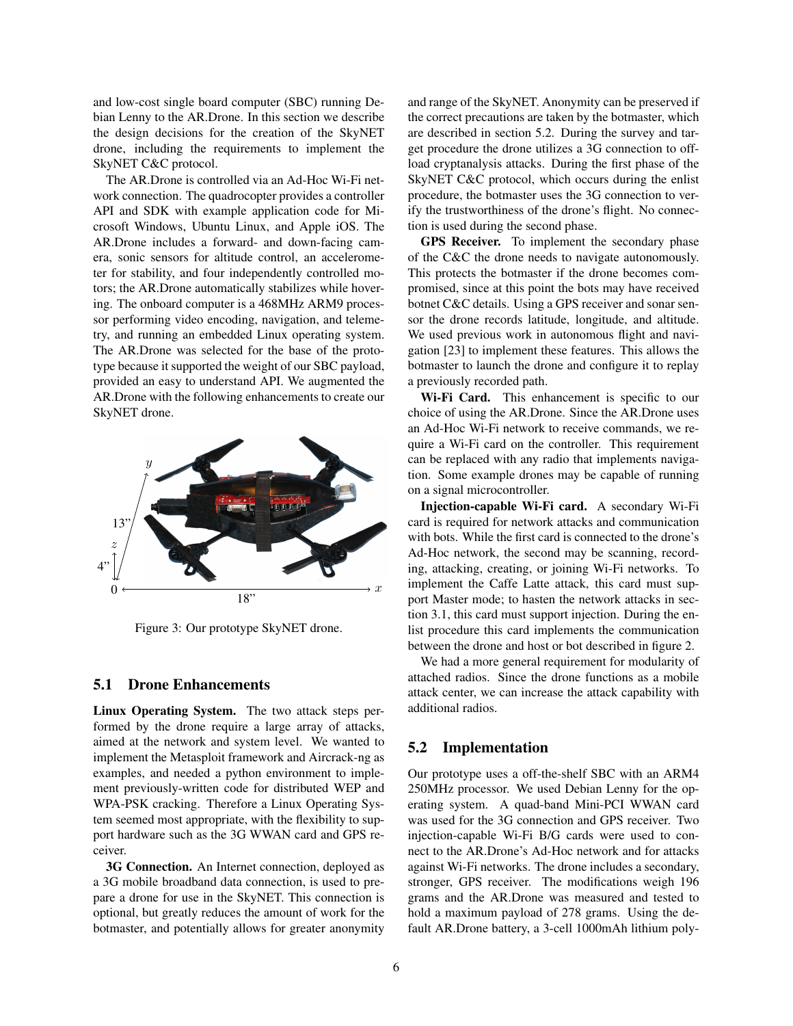and low-cost single board computer (SBC) running Debian Lenny to the AR.Drone. In this section we describe the design decisions for the creation of the SkyNET drone, including the requirements to implement the SkyNET C&C protocol.

The AR.Drone is controlled via an Ad-Hoc Wi-Fi network connection. The quadrocopter provides a controller API and SDK with example application code for Microsoft Windows, Ubuntu Linux, and Apple iOS. The AR.Drone includes a forward- and down-facing camera, sonic sensors for altitude control, an accelerometer for stability, and four independently controlled motors; the AR.Drone automatically stabilizes while hovering. The onboard computer is a 468MHz ARM9 processor performing video encoding, navigation, and telemetry, and running an embedded Linux operating system. The AR.Drone was selected for the base of the prototype because it supported the weight of our SBC payload, provided an easy to understand API. We augmented the AR.Drone with the following enhancements to create our SkyNET drone.



Figure 3: Our prototype SkyNET drone.

### 5.1 Drone Enhancements

Linux Operating System. The two attack steps performed by the drone require a large array of attacks, aimed at the network and system level. We wanted to implement the Metasploit framework and Aircrack-ng as examples, and needed a python environment to implement previously-written code for distributed WEP and WPA-PSK cracking. Therefore a Linux Operating System seemed most appropriate, with the flexibility to support hardware such as the 3G WWAN card and GPS receiver.

3G Connection. An Internet connection, deployed as a 3G mobile broadband data connection, is used to prepare a drone for use in the SkyNET. This connection is optional, but greatly reduces the amount of work for the botmaster, and potentially allows for greater anonymity and range of the SkyNET. Anonymity can be preserved if the correct precautions are taken by the botmaster, which are described in section 5.2. During the survey and target procedure the drone utilizes a 3G connection to offload cryptanalysis attacks. During the first phase of the SkyNET C&C protocol, which occurs during the enlist procedure, the botmaster uses the 3G connection to verify the trustworthiness of the drone's flight. No connection is used during the second phase.

GPS Receiver. To implement the secondary phase of the C&C the drone needs to navigate autonomously. This protects the botmaster if the drone becomes compromised, since at this point the bots may have received botnet C&C details. Using a GPS receiver and sonar sensor the drone records latitude, longitude, and altitude. We used previous work in autonomous flight and navigation [23] to implement these features. This allows the botmaster to launch the drone and configure it to replay a previously recorded path.

Wi-Fi Card. This enhancement is specific to our choice of using the AR.Drone. Since the AR.Drone uses an Ad-Hoc Wi-Fi network to receive commands, we require a Wi-Fi card on the controller. This requirement can be replaced with any radio that implements navigation. Some example drones may be capable of running on a signal microcontroller.

Injection-capable Wi-Fi card. A secondary Wi-Fi card is required for network attacks and communication with bots. While the first card is connected to the drone's Ad-Hoc network, the second may be scanning, recording, attacking, creating, or joining Wi-Fi networks. To implement the Caffe Latte attack, this card must support Master mode; to hasten the network attacks in section 3.1, this card must support injection. During the enlist procedure this card implements the communication between the drone and host or bot described in figure 2.

We had a more general requirement for modularity of attached radios. Since the drone functions as a mobile attack center, we can increase the attack capability with additional radios.

### 5.2 Implementation

Our prototype uses a off-the-shelf SBC with an ARM4 250MHz processor. We used Debian Lenny for the operating system. A quad-band Mini-PCI WWAN card was used for the 3G connection and GPS receiver. Two injection-capable Wi-Fi B/G cards were used to connect to the AR.Drone's Ad-Hoc network and for attacks against Wi-Fi networks. The drone includes a secondary, stronger, GPS receiver. The modifications weigh 196 grams and the AR.Drone was measured and tested to hold a maximum payload of 278 grams. Using the default AR.Drone battery, a 3-cell 1000mAh lithium poly-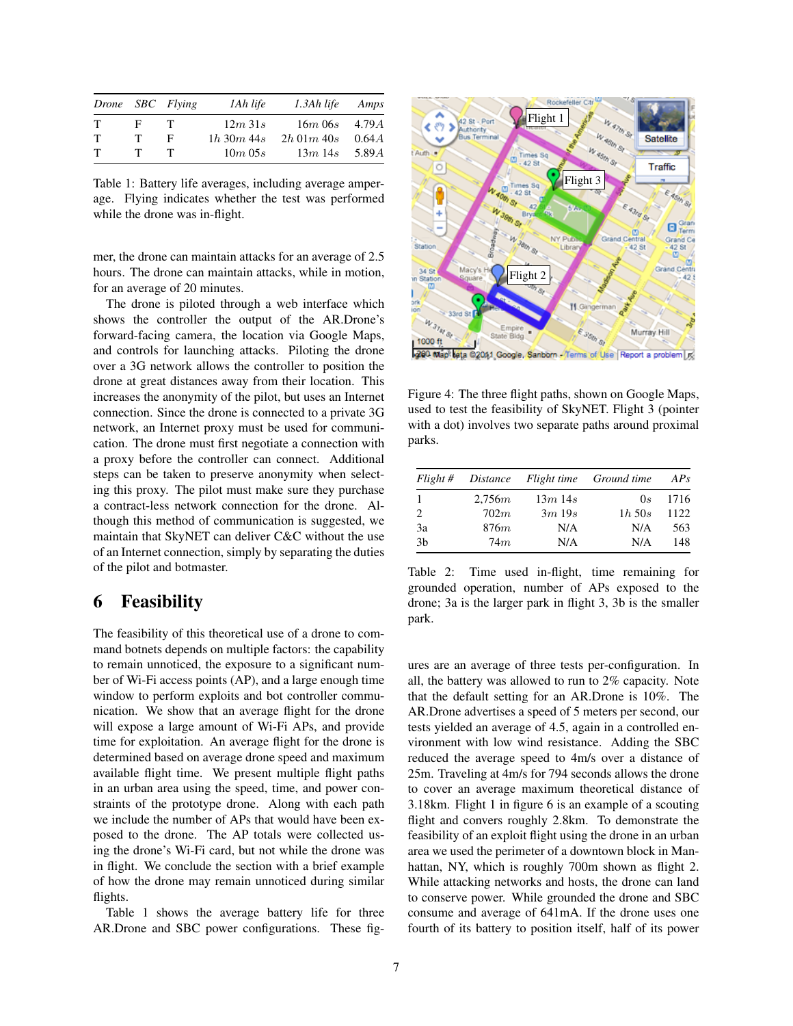|             |   | Drone SBC Flying | 1Ah life       | 1.3Ah life         | Amps  |
|-------------|---|------------------|----------------|--------------------|-------|
| T           | Е | T                | 12m31s         | $16m\,06s$ 4.79A   |       |
| $\mathbf T$ | т | F                | $1h\,30m\,44s$ | $2h$ 01 $m$ 40 $s$ | 0.64A |
| $\mathbf T$ | T | T                | 10m 05s        | $13m$ 14s          | 5.89A |

Table 1: Battery life averages, including average amperage. Flying indicates whether the test was performed while the drone was in-flight.

mer, the drone can maintain attacks for an average of 2.5 hours. The drone can maintain attacks, while in motion, for an average of 20 minutes.

The drone is piloted through a web interface which shows the controller the output of the AR.Drone's forward-facing camera, the location via Google Maps, and controls for launching attacks. Piloting the drone over a 3G network allows the controller to position the drone at great distances away from their location. This increases the anonymity of the pilot, but uses an Internet connection. Since the drone is connected to a private 3G network, an Internet proxy must be used for communication. The drone must first negotiate a connection with a proxy before the controller can connect. Additional steps can be taken to preserve anonymity when selecting this proxy. The pilot must make sure they purchase a contract-less network connection for the drone. Although this method of communication is suggested, we maintain that SkyNET can deliver C&C without the use of an Internet connection, simply by separating the duties of the pilot and botmaster.

### 6 Feasibility

The feasibility of this theoretical use of a drone to command botnets depends on multiple factors: the capability to remain unnoticed, the exposure to a significant number of Wi-Fi access points (AP), and a large enough time window to perform exploits and bot controller communication. We show that an average flight for the drone will expose a large amount of Wi-Fi APs, and provide time for exploitation. An average flight for the drone is determined based on average drone speed and maximum available flight time. We present multiple flight paths in an urban area using the speed, time, and power constraints of the prototype drone. Along with each path we include the number of APs that would have been exposed to the drone. The AP totals were collected using the drone's Wi-Fi card, but not while the drone was in flight. We conclude the section with a brief example of how the drone may remain unnoticed during similar flights.

Table 1 shows the average battery life for three AR.Drone and SBC power configurations. These fig-



Figure 4: The three flight paths, shown on Google Maps,

used to test the feasibility of SkyNET. Flight 3 (pointer with a dot) involves two separate paths around proximal parks.

|                |        |           | Flight # Distance Flight time Ground time | AP <sub>s</sub> |
|----------------|--------|-----------|-------------------------------------------|-----------------|
| -1             | 2,756m | $13m$ 14s | $_{0s}$                                   | 1716            |
| 2              | 702m   | 3m19s     | $1h\,50s$                                 | 1122            |
| 3a             | 876m   | N/A       | N/A                                       | 563             |
| 3 <sub>b</sub> | 74m    | N/A       | N/A                                       | 148             |

Table 2: Time used in-flight, time remaining for grounded operation, number of APs exposed to the drone; 3a is the larger park in flight 3, 3b is the smaller park.

ures are an average of three tests per-configuration. In all, the battery was allowed to run to 2% capacity. Note that the default setting for an AR.Drone is 10%. The AR.Drone advertises a speed of 5 meters per second, our tests yielded an average of 4.5, again in a controlled environment with low wind resistance. Adding the SBC reduced the average speed to 4m/s over a distance of 25m. Traveling at 4m/s for 794 seconds allows the drone to cover an average maximum theoretical distance of 3.18km. Flight 1 in figure 6 is an example of a scouting flight and convers roughly 2.8km. To demonstrate the feasibility of an exploit flight using the drone in an urban area we used the perimeter of a downtown block in Manhattan, NY, which is roughly 700m shown as flight 2. While attacking networks and hosts, the drone can land to conserve power. While grounded the drone and SBC consume and average of 641mA. If the drone uses one fourth of its battery to position itself, half of its power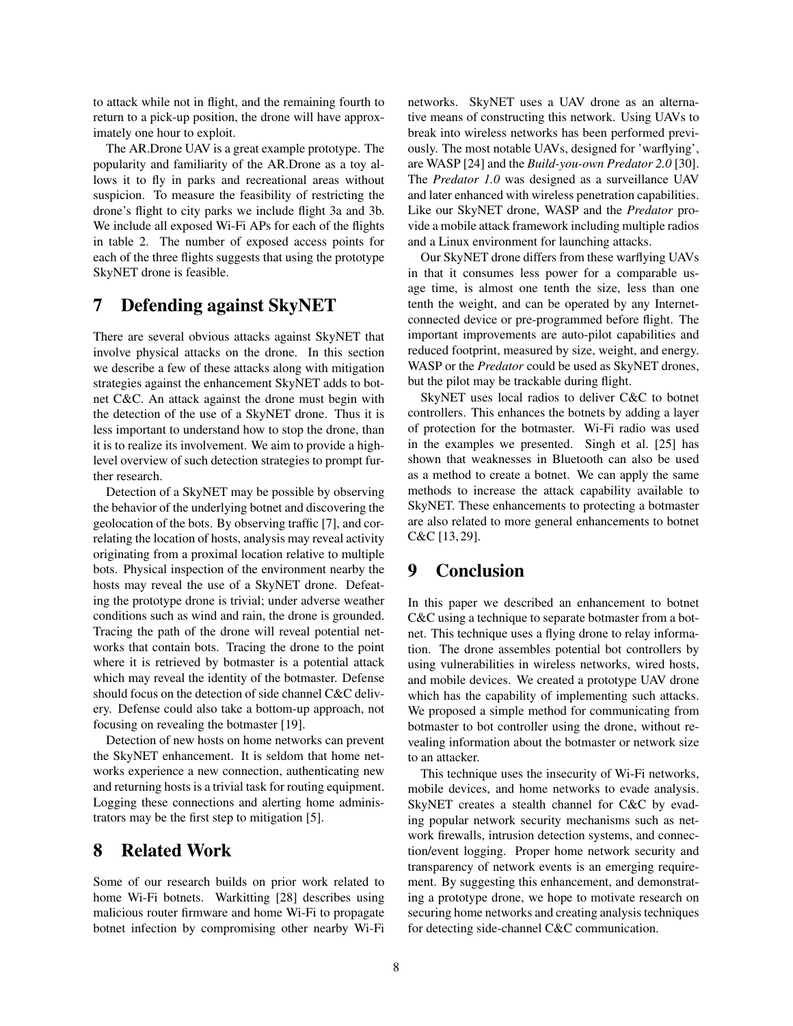to attack while not in flight, and the remaining fourth to return to a pick-up position, the drone will have approximately one hour to exploit.

The AR.Drone UAV is a great example prototype. The popularity and familiarity of the AR.Drone as a toy allows it to fly in parks and recreational areas without suspicion. To measure the feasibility of restricting the drone's flight to city parks we include flight 3a and 3b. We include all exposed Wi-Fi APs for each of the flights in table 2. The number of exposed access points for each of the three flights suggests that using the prototype SkyNET drone is feasible.

## 7 Defending against SkyNET

There are several obvious attacks against SkyNET that involve physical attacks on the drone. In this section we describe a few of these attacks along with mitigation strategies against the enhancement SkyNET adds to botnet C&C. An attack against the drone must begin with the detection of the use of a SkyNET drone. Thus it is less important to understand how to stop the drone, than it is to realize its involvement. We aim to provide a highlevel overview of such detection strategies to prompt further research.

Detection of a SkyNET may be possible by observing the behavior of the underlying botnet and discovering the geolocation of the bots. By observing traffic [7], and correlating the location of hosts, analysis may reveal activity originating from a proximal location relative to multiple bots. Physical inspection of the environment nearby the hosts may reveal the use of a SkyNET drone. Defeating the prototype drone is trivial; under adverse weather conditions such as wind and rain, the drone is grounded. Tracing the path of the drone will reveal potential networks that contain bots. Tracing the drone to the point where it is retrieved by botmaster is a potential attack which may reveal the identity of the botmaster. Defense should focus on the detection of side channel C&C delivery. Defense could also take a bottom-up approach, not focusing on revealing the botmaster [19].

Detection of new hosts on home networks can prevent the SkyNET enhancement. It is seldom that home networks experience a new connection, authenticating new and returning hosts is a trivial task for routing equipment. Logging these connections and alerting home administrators may be the first step to mitigation [5].

## 8 Related Work

Some of our research builds on prior work related to home Wi-Fi botnets. Warkitting [28] describes using malicious router firmware and home Wi-Fi to propagate botnet infection by compromising other nearby Wi-Fi networks. SkyNET uses a UAV drone as an alternative means of constructing this network. Using UAVs to break into wireless networks has been performed previously. The most notable UAVs, designed for 'warflying', are WASP [24] and the *Build-you-own Predator 2.0* [30]. The *Predator 1.0* was designed as a surveillance UAV and later enhanced with wireless penetration capabilities. Like our SkyNET drone, WASP and the *Predator* provide a mobile attack framework including multiple radios and a Linux environment for launching attacks.

Our SkyNET drone differs from these warflying UAVs in that it consumes less power for a comparable usage time, is almost one tenth the size, less than one tenth the weight, and can be operated by any Internetconnected device or pre-programmed before flight. The important improvements are auto-pilot capabilities and reduced footprint, measured by size, weight, and energy. WASP or the *Predator* could be used as SkyNET drones, but the pilot may be trackable during flight.

SkyNET uses local radios to deliver C&C to botnet controllers. This enhances the botnets by adding a layer of protection for the botmaster. Wi-Fi radio was used in the examples we presented. Singh et al. [25] has shown that weaknesses in Bluetooth can also be used as a method to create a botnet. We can apply the same methods to increase the attack capability available to SkyNET. These enhancements to protecting a botmaster are also related to more general enhancements to botnet C&C [13, 29].

### 9 Conclusion

In this paper we described an enhancement to botnet C&C using a technique to separate botmaster from a botnet. This technique uses a flying drone to relay information. The drone assembles potential bot controllers by using vulnerabilities in wireless networks, wired hosts, and mobile devices. We created a prototype UAV drone which has the capability of implementing such attacks. We proposed a simple method for communicating from botmaster to bot controller using the drone, without revealing information about the botmaster or network size to an attacker.

This technique uses the insecurity of Wi-Fi networks, mobile devices, and home networks to evade analysis. SkyNET creates a stealth channel for C&C by evading popular network security mechanisms such as network firewalls, intrusion detection systems, and connection/event logging. Proper home network security and transparency of network events is an emerging requirement. By suggesting this enhancement, and demonstrating a prototype drone, we hope to motivate research on securing home networks and creating analysis techniques for detecting side-channel C&C communication.